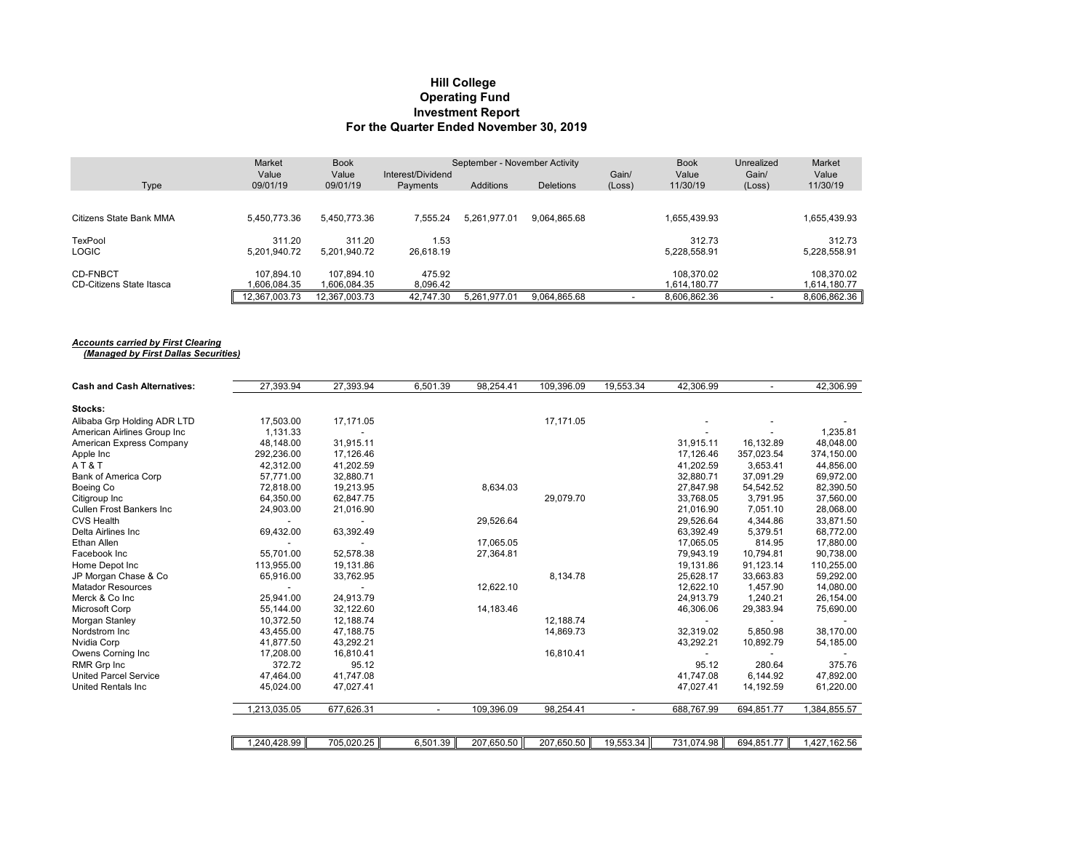#### **Hill College Operating Fund Investment Report For the Quarter Ended November 30, 2019**

|                          | Market            | <b>Book</b>       |                                      | September - November Activity |                  |                 | <b>Book</b>       | Unrealized      | Market            |
|--------------------------|-------------------|-------------------|--------------------------------------|-------------------------------|------------------|-----------------|-------------------|-----------------|-------------------|
| Type                     | Value<br>09/01/19 | Value<br>09/01/19 | Interest/Dividend<br><b>Payments</b> | Additions                     | <b>Deletions</b> | Gain/<br>(Loss) | Value<br>11/30/19 | Gain/<br>(Loss) | Value<br>11/30/19 |
|                          |                   |                   |                                      |                               |                  |                 |                   |                 |                   |
| Citizens State Bank MMA  | 5.450.773.36      | 5,450,773.36      | 7.555.24                             | 5.261.977.01                  | 9,064,865.68     |                 | 1.655.439.93      |                 | 1,655,439.93      |
| TexPool                  | 311.20            | 311.20            | 1.53                                 |                               |                  |                 | 312.73            |                 | 312.73            |
| <b>LOGIC</b>             | 5.201.940.72      | 5,201,940.72      | 26.618.19                            |                               |                  |                 | 5,228,558.91      |                 | 5,228,558.91      |
| <b>CD-FNBCT</b>          | 107.894.10        | 107.894.10        | 475.92                               |                               |                  |                 | 108,370.02        |                 | 108.370.02        |
| CD-Citizens State Itasca | .606.084.35       | 1.606.084.35      | 8,096.42                             |                               |                  |                 | 1.614.180.77      |                 | 1,614,180.77      |
|                          | 12.367.003.73     | 12.367.003.73     | 42.747.30                            | 5.261.977.01                  | 9.064.865.68     |                 | 8.606.862.36      |                 | 8,606,862.36      |

#### *Accounts carried by First Clearing*

 *(Managed by First Dallas Securities)*

| <b>Cash and Cash Alternatives:</b> | 27,393.94    | 27,393.94  | 6,501.39 | 98,254.41  | 109,396.09 | 19,553.34 | 42,306.99  |            | 42,306.99    |
|------------------------------------|--------------|------------|----------|------------|------------|-----------|------------|------------|--------------|
| Stocks:                            |              |            |          |            |            |           |            |            |              |
| Alibaba Grp Holding ADR LTD        | 17,503.00    | 17,171.05  |          |            | 17,171.05  |           |            |            |              |
| American Airlines Group Inc        | 1,131.33     |            |          |            |            |           |            |            | 1,235.81     |
| American Express Company           | 48.148.00    | 31,915.11  |          |            |            |           | 31.915.11  | 16,132.89  | 48,048.00    |
| Apple Inc                          | 292,236.00   | 17,126.46  |          |            |            |           | 17,126.46  | 357,023.54 | 374,150.00   |
| AT&T                               | 42,312.00    | 41,202.59  |          |            |            |           | 41,202.59  | 3,653.41   | 44,856.00    |
| <b>Bank of America Corp</b>        | 57.771.00    | 32,880.71  |          |            |            |           | 32,880.71  | 37,091.29  | 69,972.00    |
| Boeing Co                          | 72.818.00    | 19,213.95  |          | 8,634.03   |            |           | 27.847.98  | 54,542.52  | 82,390.50    |
| Citigroup Inc                      | 64,350.00    | 62,847.75  |          |            | 29,079.70  |           | 33,768.05  | 3,791.95   | 37,560.00    |
| <b>Cullen Frost Bankers Inc.</b>   | 24,903.00    | 21,016.90  |          |            |            |           | 21,016.90  | 7,051.10   | 28,068.00    |
| <b>CVS Health</b>                  |              |            |          | 29,526.64  |            |           | 29,526.64  | 4,344.86   | 33,871.50    |
| Delta Airlines Inc                 | 69,432.00    | 63,392.49  |          |            |            |           | 63,392.49  | 5,379.51   | 68,772.00    |
| Ethan Allen                        |              |            |          | 17,065.05  |            |           | 17,065.05  | 814.95     | 17,880.00    |
| Facebook Inc                       | 55.701.00    | 52,578.38  |          | 27,364.81  |            |           | 79.943.19  | 10,794.81  | 90,738.00    |
| Home Depot Inc                     | 113,955.00   | 19,131.86  |          |            |            |           | 19,131.86  | 91,123.14  | 110,255.00   |
| JP Morgan Chase & Co               | 65,916.00    | 33,762.95  |          |            | 8,134.78   |           | 25,628.17  | 33,663.83  | 59,292.00    |
| <b>Matador Resources</b>           |              |            |          | 12,622.10  |            |           | 12,622.10  | 1,457.90   | 14,080.00    |
| Merck & Co Inc                     | 25.941.00    | 24,913.79  |          |            |            |           | 24,913.79  | 1,240.21   | 26,154.00    |
| Microsoft Corp                     | 55,144.00    | 32,122.60  |          | 14,183.46  |            |           | 46,306.06  | 29,383.94  | 75,690.00    |
| Morgan Stanley                     | 10,372.50    | 12,188.74  |          |            | 12,188.74  |           |            |            |              |
| Nordstrom Inc                      | 43,455.00    | 47,188.75  |          |            | 14,869.73  |           | 32,319.02  | 5,850.98   | 38,170.00    |
| Nvidia Corp                        | 41.877.50    | 43,292.21  |          |            |            |           | 43,292.21  | 10,892.79  | 54,185.00    |
| Owens Corning Inc                  | 17,208.00    | 16,810.41  |          |            | 16,810.41  |           |            |            |              |
| RMR Grp Inc                        | 372.72       | 95.12      |          |            |            |           | 95.12      | 280.64     | 375.76       |
| <b>United Parcel Service</b>       | 47,464.00    | 41,747.08  |          |            |            |           | 41,747.08  | 6,144.92   | 47,892.00    |
| United Rentals Inc                 | 45,024.00    | 47,027.41  |          |            |            |           | 47,027.41  | 14,192.59  | 61,220.00    |
|                                    | 1,213,035.05 | 677,626.31 |          | 109,396.09 | 98,254.41  |           | 688,767.99 | 694,851.77 | 1,384,855.57 |
|                                    |              |            |          |            |            |           |            |            |              |
|                                    | 1,240,428.99 | 705,020.25 | 6,501.39 | 207,650.50 | 207,650.50 | 19,553.34 | 731,074.98 | 694,851.77 | 1,427,162.56 |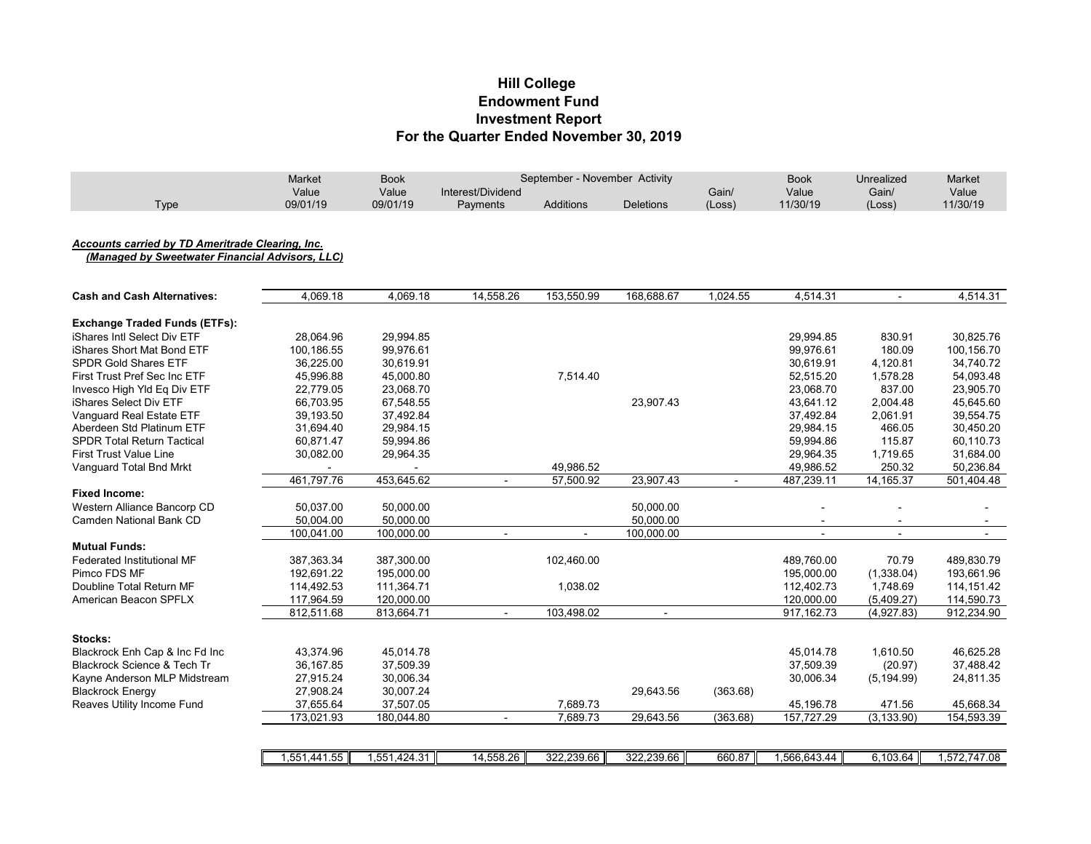# **Investment Report For the Quarter Ended November 30, 2019 Hill College Endowment Fund**

|      | Market   | Book     | Activity<br>September - November |                  |                  |        | Book     | <b>Jnrealized</b> | Market   |
|------|----------|----------|----------------------------------|------------------|------------------|--------|----------|-------------------|----------|
|      | Value    | Value    | Interest/Dividend                |                  |                  | Gain/  | Value    | Gain/             | Value    |
| Type | 09/01/19 | 09/01/19 | Payments                         | <b>Additions</b> | <b>Deletions</b> | (Loss) | 11/30/19 | (Loss)            | 11/30/19 |

### *Accounts carried by TD Ameritrade Clearing, Inc.*

 *(Managed by Sweetwater Financial Advisors, LLC)*

| <b>Cash and Cash Alternatives:</b>     | 4,069.18     | 4,069.18     | 14,558.26                | 153,550.99 | 168,688.67               | 1,024.55 | 4,514.31     | $\overline{a}$ | 4,514.31     |
|----------------------------------------|--------------|--------------|--------------------------|------------|--------------------------|----------|--------------|----------------|--------------|
| <b>Exchange Traded Funds (ETFs):</b>   |              |              |                          |            |                          |          |              |                |              |
| iShares Intl Select Div ETF            | 28,064.96    | 29,994.85    |                          |            |                          |          | 29,994.85    | 830.91         | 30,825.76    |
| iShares Short Mat Bond ETF             | 100,186.55   | 99,976.61    |                          |            |                          |          | 99,976.61    | 180.09         | 100,156.70   |
| <b>SPDR Gold Shares ETF</b>            | 36,225.00    | 30,619.91    |                          |            |                          |          | 30,619.91    | 4,120.81       | 34,740.72    |
| First Trust Pref Sec Inc ETF           | 45,996.88    | 45,000.80    |                          | 7,514.40   |                          |          | 52,515.20    | 1,578.28       | 54,093.48    |
| Invesco High Yld Eq Div ETF            | 22,779.05    | 23,068.70    |                          |            |                          |          | 23,068.70    | 837.00         | 23,905.70    |
| iShares Select Div ETF                 | 66.703.95    | 67,548.55    |                          |            | 23,907.43                |          | 43,641.12    | 2,004.48       | 45,645.60    |
| Vanguard Real Estate ETF               | 39,193.50    | 37,492.84    |                          |            |                          |          | 37,492.84    | 2,061.91       | 39,554.75    |
| Aberdeen Std Platinum ETF              | 31,694.40    | 29,984.15    |                          |            |                          |          | 29,984.15    | 466.05         | 30,450.20    |
| <b>SPDR Total Return Tactical</b>      | 60,871.47    | 59,994.86    |                          |            |                          |          | 59,994.86    | 115.87         | 60,110.73    |
| <b>First Trust Value Line</b>          | 30,082.00    | 29,964.35    |                          |            |                          |          | 29,964.35    | 1,719.65       | 31,684.00    |
| Vanguard Total Bnd Mrkt                |              |              |                          | 49,986.52  |                          |          | 49,986.52    | 250.32         | 50,236.84    |
|                                        | 461,797.76   | 453,645.62   | $\blacksquare$           | 57.500.92  | 23,907.43                | $\sim$   | 487,239.11   | 14,165.37      | 501,404.48   |
| <b>Fixed Income:</b>                   |              |              |                          |            |                          |          |              |                |              |
| Western Alliance Bancorp CD            | 50,037.00    | 50,000.00    |                          |            | 50,000.00                |          |              |                |              |
| Camden National Bank CD                | 50,004.00    | 50,000.00    |                          |            | 50,000.00                |          |              |                |              |
|                                        | 100,041.00   | 100,000.00   | $\overline{\phantom{a}}$ |            | 100,000.00               |          |              |                |              |
| <b>Mutual Funds:</b>                   |              |              |                          |            |                          |          |              |                |              |
| <b>Federated Institutional MF</b>      | 387,363.34   | 387,300.00   |                          | 102,460.00 |                          |          | 489,760.00   | 70.79          | 489,830.79   |
| Pimco FDS MF                           | 192,691.22   | 195,000.00   |                          |            |                          |          | 195,000.00   | (1,338.04)     | 193,661.96   |
| Doubline Total Return MF               | 114,492.53   | 111,364.71   |                          | 1,038.02   |                          |          | 112,402.73   | 1,748.69       | 114, 151.42  |
| American Beacon SPFLX                  | 117,964.59   | 120,000.00   |                          |            |                          |          | 120,000.00   | (5,409.27)     | 114,590.73   |
|                                        | 812,511.68   | 813,664.71   | $\overline{a}$           | 103,498.02 | $\overline{\phantom{0}}$ |          | 917, 162. 73 | (4,927.83)     | 912,234.90   |
| Stocks:                                |              |              |                          |            |                          |          |              |                |              |
| Blackrock Enh Cap & Inc Fd Inc         | 43,374.96    | 45,014.78    |                          |            |                          |          | 45,014.78    | 1,610.50       | 46,625.28    |
| <b>Blackrock Science &amp; Tech Tr</b> | 36, 167.85   | 37,509.39    |                          |            |                          |          | 37,509.39    | (20.97)        | 37,488.42    |
| Kayne Anderson MLP Midstream           | 27,915.24    | 30,006.34    |                          |            |                          |          | 30,006.34    | (5, 194.99)    | 24,811.35    |
| <b>Blackrock Energy</b>                | 27,908.24    | 30,007.24    |                          |            | 29,643.56                | (363.68) |              |                |              |
| Reaves Utility Income Fund             | 37,655.64    | 37,507.05    |                          | 7,689.73   |                          |          | 45,196.78    | 471.56         | 45,668.34    |
|                                        | 173,021.93   | 180,044.80   | $\overline{\phantom{a}}$ | 7,689.73   | 29,643.56                | (363.68) | 157,727.29   | (3, 133.90)    | 154,593.39   |
|                                        |              |              |                          |            |                          |          |              |                |              |
|                                        | 1,551,441.55 | 1,551,424.31 | 14,558.26                | 322,239.66 | 322,239.66               | 660.87   | .566,643.44  | 6,103.64       | 1,572,747.08 |